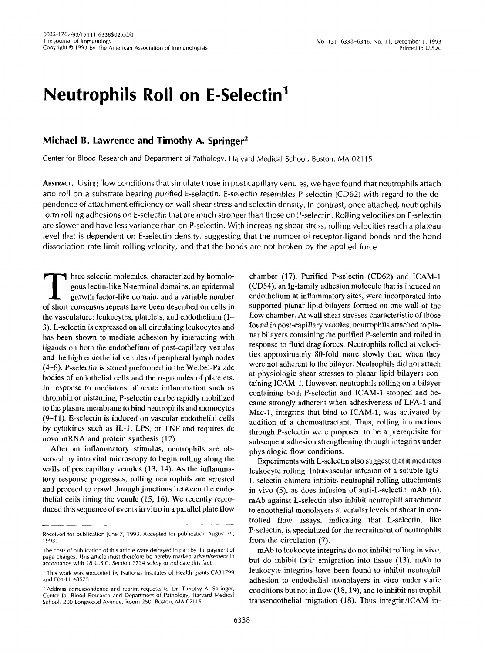# **Neutrophils Roll on E-Selectin'**

# **Michael B. Lawrence and Timothy A. Springer2**

Center for Blood Research and Department of Pathology, Harvard Medical School, Boston, MA 021 15

**ABSTRACT.** Using flow conditions that simulate those in post capillary venules, we have found that neutrophils attach and roll on a substrate bearing purified E-selectin. E-selectin resembles P-selectin (CD62) with regard to the dependence of attachment efficiency on wall shear stress and selectin density. In contrast, once attached, neutrophils form rolling adhesions on E-selectin that are much stronger than those on P-selectin. Rolling velocities on E-selectin are slower and have less variance than on P-selectin. With increasing shear stress, rolling velocities reach a plateau level that is dependent on E-selectin density, suggesting that the number of receptor-ligand bonds and the bond dissociation rate limit rolling velocity, and that the bonds are not broken by the applied force.

Three selectin molecules, characterized by homologous lectin-like N-terminal domains, an epidermal growth factor-like domain, and a variable number of short consensus repeats have been described on cells in gous lectin-like N-terminal domains, an epidermal growth factor-like domain, and a variable number of short consensus repeats have been described on cells in the vasculature: leukocytes, platelets, and endothelium (1- 3). L-selectin is expressed on all circulating leukocytes and has been shown to mediate adhesion by interacting with ligands on both the endothelium of post-capillary venules and the high endothelial venules of peripheral lymph nodes (4-8). P-selectin is stored preformed in the Weibel-Palade bodies of endothelial cells and the  $\alpha$ -granules of platelets. In response to mediators of acute inflammation such as thrombin or histamine, P-selectin can be rapidly mobilized to the plasma membrane to bind neutrophils and monocytes (9-1 **1).** E-selectin is induced on vascular endothelial cells by cytokines such as IL-I, LPS, or TNF and requires de novo mRNA and protein synthesis (12).

After an inflammatory stimulus, neutrophils are observed by intravital microscopy to begin rolling along the walls of postcapillary venules (13, 14). **As** the inflammatory response progresses, rolling neutrophils are arrested and proceed to crawl through junctions between the endothelial cells lining the venule (15, 16). We recently reproduced this sequence of events in vitro in a parallel plate flow

chamber (17). Purified P-selectin (CD62) and ICAM-1 (CD54), an Ig-family adhesion molecule that is induced on endothelium at inflammatory sites, were incorporated into supported planar lipid bilayers formed on one wall of the flow chamber. At wall shear stresses characteristic of those found in post-capillary venules, neutrophils attached to planar bilayers containing the purified P-selectin and rolled in response to fluid drag forces. Neutrophils rolled at velocities approximately 80-fold more slowly than when they were not adherent to the bilayer. Neutrophils did not attach at physiologic shear stresses to planar lipid bilayers containing ICAM-1. However, neutrophils rolling on a bilayer containing both P-selectin and ICAM-1 stopped and became strongly adherent when adhesiveness of LFA-1 and Mac-1, integrins that bind to ICAM-1, was activated by addition of a chemoattractant. Thus, rolling interactions through P-selectin were proposed to be a prerequisite for subsequent adhesion strengthening through integrins under physiologic flow conditions.

Experiments with L-selectin also suggest that it mediates leukocyte rolling. Intravascular infusion of a soluble IgG-L-selectin chimera inhibits neutrophil rolling attachments in vivo **(5),** as does infusion of anti-L-selectin mAb (6). mAb against L-selectin also inhibit neutrophil attachment to endothelial monolayers at venular levels of shear in controlled flow assays, indicating that L-selectin, like P-selectin, is specialized for the recruitment of neutrophils from the circulation (7).

mAb to leukocyte integrins do not inhibit rolling in vivo, but do inhibit their emigration into tissue (13). mAb to leukocyte integrins have been found to inhibit neutrophil adhesion to endothelial monolayers in vitro under static conditions but not in flow (18,19), and to inhibit neutrophil transendothelial migration (18), Thus integrin/ICAM in-

Received for publication June 7, 1993. Accepted for publication August 25, 1993.

The costs of publication of this article were defrayed in part by the payment of page charges. This article must therefore be hereby marked advertisement in accordance with 18 U.S.C. Section 1734 solely to indicate this fact.

<sup>&</sup>lt;sup>1</sup> This work was supported by National Institutes of Health grants CA31799 and P01-HL48675.

<sup>&</sup>lt;sup>2</sup> Address correspondence and reprint requests to Dr. Timothy A. Springer, School, 200 Longwood Avenue, Room 250, Boston, MA 021 15. Center for Blood Research and Department of Pathology, Harvard Medical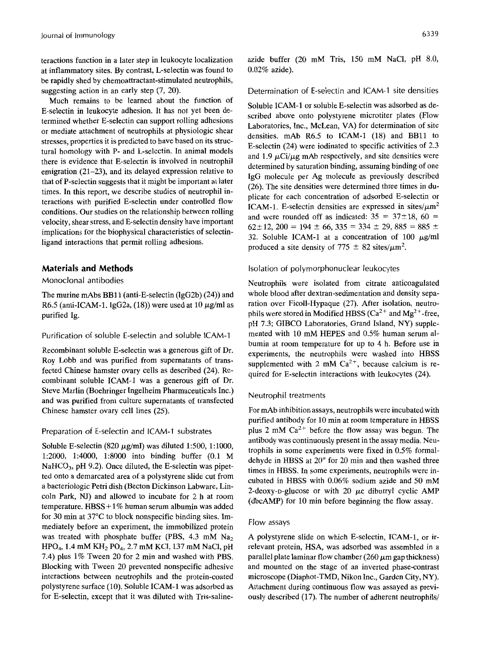at inflammatory sites. By contrast, L-selectin was found to be rapidly shed by chemoattractant-stimulated neutrophils, suggesting action in an early step  $(7, 20)$ .

Much remains to be learned about the function of E-selectin in leukocyte adhesion. It has not yet been determined whether E-selectin can support rolling adhesions or mediate attachment of neutrophils at physiologic shear stresses, properties it is predicted to have based on its structural homology with P- and L-selectin. In animal models there is evidence that E-selectin is involved in neutrophil emigration (21–23), and its delayed expression relative to that of P-selectin suggests that it might be important at later times. In this report, we describe studies of neutrophil interactions with purified E-selectin under controlled flow conditions. Our studies on the relationship between rolling velocity, shear stress, and E-selectin density have important implications for the biophysical characteristics of selectinligand interactions that permit rolling adhesions.

# **Materials and Methods**

# Monoclonal antibodies

The murine mAbs BBll (anti-E-selectin (IgG2b) (24)) and R6.5 (anti-ICAM-1, IgG2a, (18)) were used at 10  $\mu$ g/ml as purified Ig.

Purification of soluble E-selectin and soluble ICAM-1

Recombinant soluble E-selectin was a generous gift of Dr. Roy Lobb and was purified from supernatants of transfected Chinese hamster ovary cells as described (24). Recombinant soluble ICAM-1 was a generous gift of Dr. Steve Marlin (Boehringer Ingelheim Pharmaceuticals Inc.) and was purified from culture supernatants of transfected Chinese hamster ovary cell lines (25).

#### Preparation *of* E-selectin and ICAM-1 substrates

Soluble E-selectin (820  $\mu$ g/ml) was diluted 1:500, 1:1000, 1:2000, 1:4000, 1:8000 into binding buffer (0.1 M NaHCO<sub>3</sub>, pH 9.2). Once diluted, the E-selectin was pipetted onto a demarcated area of a polystyrene slide cut from a bacteriologic Petri dish (Becton Dickinson Labware, Lincoln Park, NJ) and allowed to incubate for 2 h at room temperature. HBSS+1% human serum albumin was added for 30 min at 37°C to block nonspecific binding sites. Immediately before an experiment, the immobilized protein was treated with phosphate buffer (PBS,  $4.3 \text{ mM } \text{Na}_2$ )  $HPO<sub>4</sub>$ , 1.4 mM  $KH<sub>2</sub> PO<sub>4</sub>$ , 2.7 mM KCl, 137 mM NaCl, pH 7.4) plus 1% Tween 20 for 2 min and washed with PBS. Blocking with Tween 20 prevented nonspecific adhesive interactions between neutrophils and the protein-coated polystyrene surface (10). Soluble ICAM-1 was adsorbed as for E-selectin, except that it was diluted with Tris-saline-

teractions function in a later step in leukocyte localization azide buffer (20 mM Tris, 150 mM NaCl, pH 8.0, at inflammatory sites. By contrast, L-selectin was found to  $0.02\%$  azide).

#### Determination of E-selectin and ICAM-1 site densities

Soluble ICAM-1 or soluble E-selectin was adsorbed as described above onto polystyrene microtiter plates (Flow Laboratories, Inc., McLean, VA) for determination of site densities.  $mAb$  R6.5 to ICAM-1 (18) and BB11 to E-selectin (24) were iodinated to specific activities of 2.3 and 1.9  $\mu$ Ci/ $\mu$ g mAb respectively, and site densities were determined by saturation binding, assuming binding of one IgG molecule per Ag molecule as previously described (26). The site densities were determined three times in duplicate for each concentration of adsorbed E-selectin or ICAM-1. E-selectin densities are expressed in sites/ $\mu$ m<sup>2</sup> and were rounded off as indicated:  $35 = 37 \pm 18$ ,  $60 =$  $62 \pm 12$ ,  $200 = 194 \pm 66$ ,  $335 = 334 \pm 29$ ,  $885 = 885 \pm 12$ 32. Soluble ICAM-1 at a concentration of 100  $\mu$ g/ml produced a site density of 775  $\pm$  82 sites/ $\mu$ m<sup>2</sup>.

#### Isolation of polymorphonuclear leukocytes

Neutrophils were isolated from citrate anticoagulated whole blood after dextran-sedimentation and density separation over Ficoll-Hypaque (27). After isolation, neutrophils were stored in Modified HBSS ( $Ca^{2+}$  and Mg<sup>2+</sup>-free, **pH** 7.3; GIBCO Laboratories, Grand Island, NY) supplemented with 10 mM HEPES and 0.5% human serum albumin at room temperature for up to 4 h. Before use in experiments, the neutrophils were washed into **HBSS**  supplemented with 2 mM  $Ca^{2+}$ , because calcium is required for E-selectin interactions with leukocytes (24).

#### Neutrophil treatments

For mAb inhibition assays, neutrophils were incubated with purified antibody for 10 min at room temperature in HBSS plus 2 mM  $Ca^{2+}$  before the flow assay was begun. The antibody was continuously present in the assay media. Neutrophils in some experiments were fixed in 0.5% formaldehyde in HBSS at 20" for 20 min and then washed three times in HBSS. In some experiments, neutrophils were incubated in **HBSS** with 0.06% sodium azide and 50 mM 2-deoxy-p-glucose or with 20  $\mu$ c dibutryl cyclic AMP (dbcAMP) for 10 min before beginning the flow assay.

#### Flow assays

A polystyrene slide on which E-selectin, ICAM-1, or irrelevant protein, HSA, was adsorbed was assembled in a parallel plate laminar flow chamber  $(260 \mu m)$  gap thickness) and mounted on the stage of an inverted phase-contrast microscope (Diaphot-TMD, Nikon Inc., Garden City, NY). Attachment during continuous flow was assayed as previously described (17). The number of adherent neutrophils/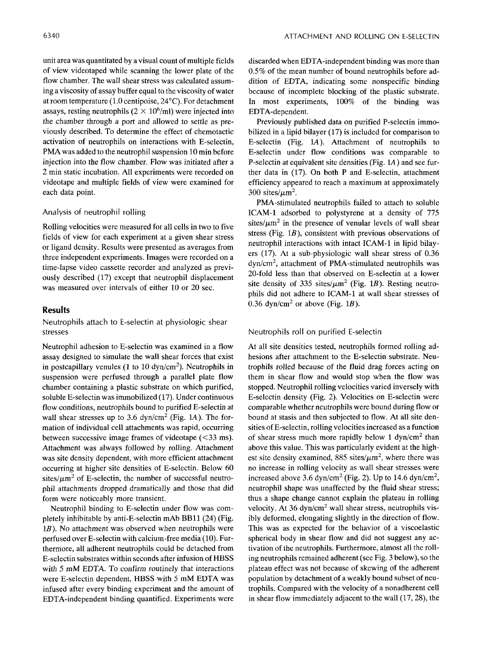unit area was quantitated by a visual count of multiple fields of view videotaped while scanning the lower plate of the flow chamber. The wall shear stress was calculated assuming a viscosity of assay buffer equal to the viscosity of water at room temperature (1.0 centipoise, 24°C). For detachment assays, resting neutrophils  $(2 \times 10^6/\text{m})$  were injected into the chamber through a port and allowed to settle as previously described. To determine the effect of chemotactic activation of neutrophils on interactions with E-selectin, PMA was added to the neutrophil suspension 10 min before injection into the flow chamber. Flow was initiated after a 2 min static incubation. All experiments were recorded on videotape and multiple fields of view were examined for each data point.

#### Analysis of neutrophil rolling

Rolling velocities were measured for all cells in two to five fields of view for each experiment at a given shear stress or ligand density. Results were presented as averages from three independent experiments. Images were recorded on a time-lapse video cassette recorder and analyzed as previously described (17) except that neutrophil displacement was measured over intervals of either 10 or 20 sec.

#### **Results**

# Neutrophils attach to E-selectin at physiologic shear stresses

Neutrophil adhesion to E-selectin was examined in a flow assay designed to simulate the wall shear forces that exist in postcapillary venules **(1** to 10 dyn/cm2). Neutrophils in suspension were perfused through a parallel plate flow chamber containing a plastic substrate on which purified, soluble E-selectin was immobilized (17). Under continuous flow conditions, neutrophils bound to purified E-selectin at wall shear stresses up to 3.6 dyn/cm<sup>2</sup> (Fig. 1A). The formation of individual cell attachments was rapid, occurring between successive image frames of *videotape (<33* ms). Attachment was always followed by rolling. Attachment was site density dependent, with more efficient attachment occurring at higher site densities of E-selectin. Below 60 sites/ $\mu$ m<sup>2</sup> of E-selectin, the number of successful neutrophil attachments dropped dramatically and those that did form were noticeably more transient.

Neutrophil binding to E-selectin under flow was completely inhibitable by anti-E-selectin mAb BBll (24) (Fig. 1*B*). No attachment was observed when neutrophils were perfused over E-selectin with calcium-free media (10). Furthermore, all adherent neutrophils could be detached from E-selectin substrates within seconds after infusion of HBSS with 5 mM EDTA. To confirm routinely that interactions were E-selectin dependent, HBSS with 5 mM EDTA was infused after every binding experiment and the amount of EDTA-independent binding quantified. Experiments were discarded when EDTA-independent binding was more than 0.5% of the mean number of bound neutrophils before addition of EDTA, indicating some nonspecific binding because of incomplete blocking of the plastic substrate. In most experiments, 100% of the binding was EDTA-dependent.

Previously published data on purified P-selectin immobilized in a lipid bilayer (17) is included for comparison to E-selectin (Fig. lA). Attachment of neutrophils to E-selectin under flow conditions was comparable to P-selectin at equivalent site densities (Fig. lA) and see further data in (17). On both P and E-selectin, attachment efficiency appeared to reach a maximum at approximately 300 sites/ $\mu$ m<sup>2</sup>.

PMA-stimulated neutrophils failed to attach to soluble ICAM-1 adsorbed to polystyrene at a density of 775 sites/ $\mu$ m<sup>2</sup> in the presence of venular levels of wall shear stress (Fig.  $1B$ ), consistent with previous observations of neutrophil interactions with intact ICAM-1 in lipid bilayers (17). At a sub-physiologic wall shear stress of 0.36 dyn/cm2, attachment of PMA-stimulated neutrophils was 20-fold less than that observed on E-selectin at a lower site density of 335 sites/ $\mu$ m<sup>2</sup> (Fig. 1*B*). Resting neutrophils did not adhere to ICAM-1 at wall shear stresses of 0.36 dyn/cm<sup>2</sup> or above (Fig. 1B).

#### Neutrophils roll on purified E-selectin

At all site densities tested, neutrophils formed rolling adhesions after attachment to the E-selectin substrate. Neutrophils rolled because of the fluid drag forces acting on them in shear flow and would stop when the flow was stopped. Neutrophil rolling velocities varied inversely with E-selectin density (Fig. 2). Velocities on E-selectin were comparable whether neutrophils were bound during flow or bound at stasis and then subjected to flow. At all site densities of E-selectin, rolling velocities increased as a function of shear stress much more rapidly below 1 dyn/cm<sup>2</sup> than above this value. This was particularly evident at the highest site density examined, 885 sites/ $\mu$ m<sup>2</sup>, where there was no increase in rolling velocity as wall shear stresses were increased above 3.6 dyn/cm<sup>2</sup> (Fig. 2). Up to 14.6 dyn/cm<sup>2</sup>, neutrophil shape was unaffected by the fluid shear stress; thus a shape change cannot explain the plateau in rolling velocity. At  $36 \text{ dyn/cm}^2$  wall shear stress, neutrophils visibly deformed, elongating slightly in the direction of flow. This was as expected for the behavior of a viscoelastic spherical body in shear flow and did not suggest any activation of the neutrophils. Furthermore, almost all the rolling neutrophils remained adherent (see Fig. 3 below), so the plateau effect was not because of skewing of the adherent population by detachment of a weakly bound subset of neutrophils. Compared with the velocity of a nonadherent cell in shear flow immediately adjacent to the wall (17,28), the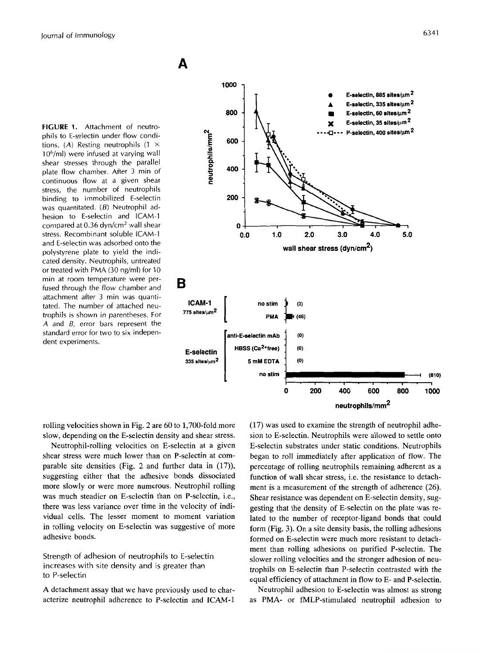**FIGURE 1.** Attachment of neutrophils to E-selectin under flow conditions. *(A)* Resting neutrophils (1 X 1O6/ml) were infused at varying wall shear stresses through the parallel plate flow chamber. After 3 min of continuous flow at a given shear stress, the number of neutrophils binding to immobilized E-selectin was quantitated. *(B)* Neutrophil adhesion to E-selectin and ICAM-1 compared at 0.36 dyn/cm2 wall shear stress. Recombinant soluble ICAM-1 and E-selectin was adsorbed onto the polystyrene plate to yield the indicated density. Neutrophils, untreated or treated with PMA (30 ng/ml) for 10 min at room temperature were perfused through the flow chamber and attachment after *3* min was quantitated. The number of attached neutrophils is shown *in* parentheses. For *A* and *B,* error bars represent the standard error for two to six independent experiments.



rolling velocities shown in Fig. *2* are 60 to 1,700-fold more slow, depending on the E-selectin density and shear stress.

Neutrophil-rolling velocities on E-selectin at a given shear stress were much lower than on P-selectin at comparable site densities (Fig. *2* and further data in (17)), suggesting either that the adhesive bonds dissociated more slowly or were more numerous. Neutrophil rolling was much steadier on E-selectin than on P-selectin, i.e., there was less variance over time in the velocity of individual cells. The lesser moment to moment variation in rolling velocity on E-selectin was suggestive of more adhesive bonds.

Strength of adhesion of neutrophils to E-selectin increases with site density and is greater than to P-selectin

**A** detachment assay that we have previously used to characterize neutrophil adherence to P-selectin and **ICAM-1**  (17) was used to examine the strength of neutrophil adhesion to E-selectin. Neutrophils were allowed to settle onto E-selectin substrates under static conditions. Neutrophils began to roll immediately after application of flow. The percentage of rolling neutrophils remaining adherent as a function of wall shear stress, i.e. the resistance to detachment is a measurement of the strength of adherence (26). Shear resistance was dependent on E-selectin density, suggesting that the density of E-selectin on the plate was related to the number of receptor-ligand bonds that could form (Fig. **3).** On a site density basis, the rolling adhesions formed on E-selectin were much more resistant to detachment than rolling adhesions on purified P-selectin. The slower rolling velocities and the stronger adhesion of neutrophils on E-selectin than P-selectin contrasted with the equal efficiency of attachment in flow to E- and P-selectin.

Neutrophil adhesion to E-selectin was almost as strong as PMA- or fMLP-stimulated neutrophil adhesion to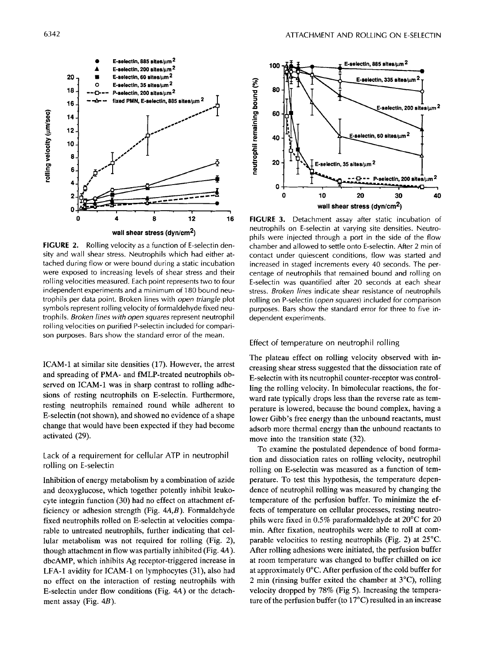

**FIGURE 2.** Rolling velocity as a function of E-selectin density and wall shear stress. Neutrophils which had either attached during flow or were bound during a static incubation were exposed to increasing levels of shear stress and their rolling velocities measured. Each point represents two to four independent experiments and a minimum of 180 bound neutrophils per data point. Broken lines with *open triangle* plot symbols represent rolling velocity of formaldehyde fixed neutrophils. *Broken lines with open squares* represent neutrophil rolling velocities on purified P-selectin included for comparison purposes. Bars show the standard error of the mean.

ICAM-1 at similar site densities (17). However, the arrest and spreading of PMA- and fMLP-treated neutrophils observed on ICAM-1 was in sharp contrast to rolling adhesions of resting neutrophils on E-selectin. Furthermore, resting neutrophils remained round while adherent to E-selectin (not shown), and showed no evidence of a shape change that would have been expected if they had become activated (29).

# Lack of a requirement for cellular **ATP** in neutrophil rolling on E-selectin

Inhibition of energy metabolism by a combination of azide and deoxyglucose, which together potently inhibit leukocyte integrin function (30) had no effect on attachment efficiency or adhesion strength (Fig. *4A,B).* Formaldehyde fixed neutrophils rolled on E-selectin at velocities comparable to untreated neutrophils, further indicating that cellular metabolism was not required for rolling (Fig. 2), though attachment in flow was partially inhibited (Fig. **4A).**  dbcAMP, which inhibits Ag receptor-triggered increase in LFA-1 avidity for **ICAM-1** on lymphocytes (31), also had no effect on the interaction of resting neutrophils with E-selectin under flow conditions (Fig. **4A)** or the detachment assay (Fig. 4B).



**FIGURE 3.** Detachment assay after static incubation of neutrophils on E-selectin at varying site densities. Neutrophils were injected through a port in the side of the flow chamber and allowed to settle onto E-selectin. After 2 min of contact under quiescent conditions, flow was started and increased in staged increments every 40 seconds. The percentage of neutrophils that remained bound and rolling on E-selectin was quantified after 20 seconds at each shear stress. *Broken lines* indicate shear resistance of neutrophils rolling on P-selectin *(open squares)* included for comparison purposes. Bars show the standard error for three to five independent experiments.

#### Effect of temperature on neutrophil rolling

The plateau effect on rolling velocity observed with increasing shear stress suggested that the dissociation rate of E-selectin with its neutrophil counter-receptor was controlling the rolling velocity. In bimolecular reactions, the forward rate typically drops less than the reverse rate as temperature is lowered, because the bound complex, having a lower Gibb's free energy than the unbound reactants, must adsorb more thermal energy than the unbound reactants to move into the transition state (32).

To examine the postulated dependence of bond formation and dissociation rates on rolling velocity, neutrophil rolling on E-selectin was measured as a function of temperature. To test this hypothesis, the temperature dependence of neutrophil rolling was measured by changing the temperature of the perfusion buffer. To minimize the effects of temperature on cellular processes, resting neutrophils were fixed in 0.5% paraformaldehyde at 20°C for 20 min. After fixation, neutrophils were able to roll at comparable velocities to resting neutrophils (Fig. 2) at 25°C. After rolling adhesions were initiated, the perfusion buffer at room temperature was changed to buffer chilled on ice at approximately 0°C. After perfusion of the cold buffer for 2 min (rinsing buffer exited the chamber at 3"C), rolling velocity dropped by 78% (Fig *5).* Increasing the temperature of the perfusion buffer (to 17°C) resulted in an increase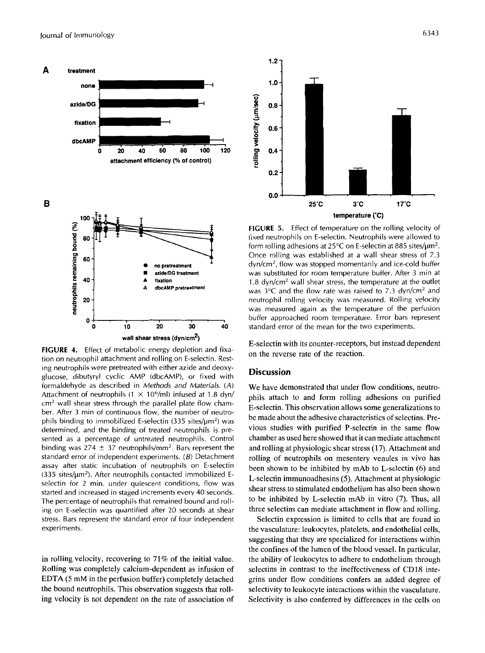

**FIGURE 4.** Effect of metabolic energy depletion and fixation on neutrophil attachment and rolling on E-selectin. Resting neutrophils were pretreated with either azide and deoxyglucose, dibutyryl cyclic AMP (dbcAMP), or fixed with formaldehyde as described in *Methods and Materials. (A)*  Attachment of neutrophils (1  $\times$  10<sup>6</sup>/ml) infused at 1.8 dyn/ cm2 wall shear stress through the parallel plate flow chamber. After 3 min of continuous flow, the number of neutrophils binding to immobilized E-selectin  $(335 \text{ sites/}\mu\text{m}^2)$  was determined, and the binding of treated neutrophils is presented as a percentage of untreated neutrophils. Control binding was 274  $\pm$  37 neutrophils/mm<sup>2</sup>. Bars represent the standard error of independent experiments.  $(B)$  Detachment assay after static incubation of neutrophils on E-selectin  $(335 \text{ sites/}\mu\text{m}^2)$ . After neutrophils contacted immobilized Eselectin for 2 min. under quiescent conditions, flow was started and increased in staged increments every 40 seconds. The percentage of neutrophils that remained bound and rolling on E-selectin was quantified after 20 seconds at shear stress. Bars represent the standard error of four independent experiments.

in rolling velocity, recovering to 71% of the initial value. Rolling was completely calcium-dependent as infusion of EDTA *(5* mM in the perfusion buffer) completely detached the bound neutrophils. This observation suggests that rolling velocity is not dependent on the rate of association of



**FIGURE** *5.* Effect of temperature on the rolling velocity of fixed neutrophils on E-selectin. Neutrophils were allowed to form rolling adhesions at 25 $\degree$ C on E-selectin at 885 sites/ $\mu$ m<sup>2</sup>. Once rolling was established at a wall shear stress of 7.3 dyn/cm2, flow was stopped momentarily and ice-cold buffer was substituted for room temperature buffer. After 3 min at 1.8 dyn/cm2 wall shear stress, the temperature at the outlet was  $3^{\circ}$ C and the flow rate was raised to 7.3 dyn/cm<sup>2</sup> and neutrophil rolling velocity was measured. Rolling velocity was measured again as the temperature of the perfusion buffer approached room temperature. Error bars represent standard error of the mean for the two experiments.

E-selectin with its counter-receptors, but instead dependent on the reverse rate of the reaction.

# **Discussion**

We have demonstrated that under flow conditions, neutrophils attach to and form rolling adhesions on purified E-selectin. This observation allows some generalizations to be made about the adhesive characteristics of selectins. Previous studies with purified P-selectin in the same flow chamber as used here showed that it can mediate attachment and rolling at physiologic shear stress (17). Attachment and rolling of neutrophils on mesentery venules in vivo has been shown to be inhibited by mAb to L-selectin **(6)** and L-selectin immunoadhesins *(5).* Attachment at physiologic shear stress to stimulated endothelium has also been shown to be inhibited by L-selectin mAb in vitro (7). Thus, all three selectins can mediate attachment in flow and rolling.

Selectin expression is limited to cells that are found in the vasculature: leukocytes, platelets, and endothelial cells, suggesting that they are specialized for interactions within the confines of the lumen of the blood vessel. In particular, the ability of leukocytes to adhere to endothelium through selectins in contrast to the ineffectiveness of CD18 integrins under flow conditions confers an added degree of selectivity to leukocyte interactions within the vasculature. Selectivity is also conferred by differences in the cells on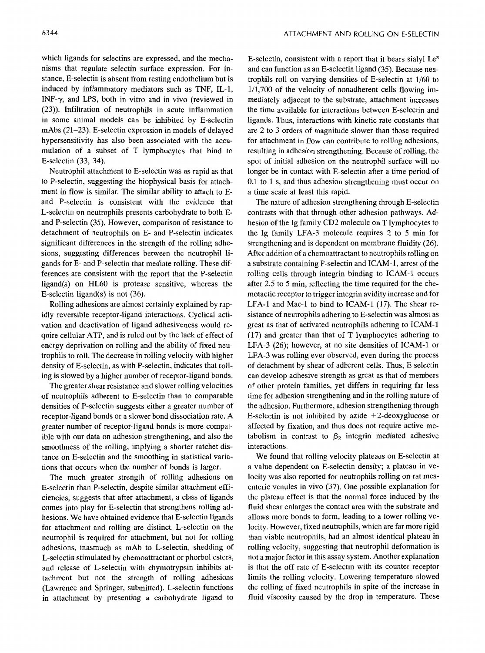which ligands for selectins are expressed, and the mechanisms that regulate selectin surface expression. For instance, E-selectin is absent from resting endothelium but is induced by inflammatory mediators such as TNF, IL-1, INF- $\gamma$ , and LPS, both in vitro and in vivo (reviewed in (23)). Infiltration of neutrophils in acute inflammation in some animal models can be inhibited by E-selectin mAbs (21-23). E-selectin expression in models of delayed hypersensitivity has also been associated with the accumulation of a subset of T lymphocytes that bind to E-selectin (33, 34).

Neutrophil attachment to E-selectin was as rapid as that to P-selectin, suggesting the biophysical basis for attachment in flow is similar. The similar ability to attach to Eand P-selectin is consistent with the evidence that L-selectin on neutrophils presents carbohydrate to both Eand P-selectin (35). However, comparison of resistance to detachment of neutrophils on E- and P-selectin indicates significant differences in the strength of the rolling adhesions, suggesting differences between the neutrophil ligands for E- and P-selectin that mediate rolling. These differences are consistent with the report that the P-selectin ligand(s) on HL60 is protease sensitive, whereas the E-selectin ligand(s) is not (36).

Rolling adhesions are almost certainly explained by rapidly reversible receptor-ligand interactions. Cyclical activation and deactivation of ligand adhesiveness would require cellular **ATP,** and is ruled out by the lack of effect of energy deprivation on rolling and the ability of fixed neutrophils to roll. The decrease in rolling velocity with higher density of E-selectin, as with P-selectin, indicates that rolling is slowed by a higher number of receptor-ligand bonds.

The greater shear resistance and slower rolling velocities of neutrophils adherent to E-selectin than to comparable densities of P-selectin suggests either a greater number of receptor-ligand bonds or a slower bond dissociation rate. **A**  greater number of receptor-ligand bonds is more compatible with our data on adhesion strengthening, and also the smoothness of the rolling, implying a shorter ratchet distance on E-selectin and the smoothing in statistical variations that occurs when the number of bonds is larger.

The much greater strength of rolling adhesions on E-selectin than P-selectin, despite similar attachment efficiencies, suggests that after attachment, a class of ligands comes into play for E-selectin that strengthens rolling adhesions. We have obtained evidence that E-selectin ligands for attachment and rolling are distinct. L-selectin on the neutrophil is required for attachment, but not for rolling adhesions, inasmuch as mAb to L-selectin, shedding of L-selectin stimulated by chemoattractant or phorbol esters, and release of L-selectin with chymotrypsin inhibits attachment but not the strength of rolling adhesions (Lawrence and Springer, submitted). L-selectin functions in attachment by presenting a carbohydrate ligand to E-selectin, consistent with a report that it bears sialyl  $Le<sup>x</sup>$ and can function as an E-selectin ligand (35). Because neutrophils roll on varying densities of E-selectin at 1/60 to 1/1,700 of the velocity of nonadherent cells flowing immediately adjacent to the substrate, attachment increases the time available for interactions between E-selectin and ligands. Thus, interactions with kinetic rate constants that are 2 to 3 orders of magnitude slower than those required for attachment in flow can contribute to rolling adhesions, resulting in adhesion strengthening. Because of rolling, the spot of initial adhesion on the neutrophil surface will no longer be in contact with E-selectin after a time period of 0.1 to 1 s, and thus adhesion strengthening must occur on a time scale at least this rapid.

The nature of adhesion strengthening through E-selectin contrasts with that through other adhesion pathways. Adhesion of the Ig family CD2 molecule on T lymphocytes to the Ig family LFA-3 molecule requires 2 to 5 min for strengthening and is dependent on membrane fluidity (26). After addition of a chemoattractant to neutrophils rolling on a substrate containing P-selectin and ICAM-1, arrest of the rolling cells through integrin binding to ICAM-1 occurs after 2.5 to 5 min, reflecting the time required for the chemotactic receptor to trigger integrin avidity increase and for LFA-1 and Mac-1 to bind to ICAM-1 (17). The shear resistance of neutrophils adhering to E-selectin was almost as great as that of activated neutrophils adhering to ICAM-1 (17) and greater than that of T lymphocytes adhering to LFA-3 (26); however, at no site densities of ICAM-1 or LFA-3 was rolling ever observed, even during the process of detachment by shear of adherent cells. Thus, E selectin can develop adhesive strength as great as that of members of other protein families, yet differs in requiring far less time for adhesion strengthening and in the rolling nature of the adhesion. Furthermore, adhesion strengthening through E-selectin is not inhibited by azide  $+2$ -deoxyglucose or affected by fixation, and thus does not require active metabolism in contrast to  $\beta_2$  integrin mediated adhesive interactions.

We found that rolling velocity plateaus on E-selectin at a value dependent on E-selectin density; a plateau in velocity was also reported for neutrophils rolling on rat mesenteric venules in vivo (37). One possible explanation for the plateau effect is that the normal force induced by the fluid shear enlarges the contact area with the substrate and allows more bonds to form, leading to a lower rolling velocity. However, fixed neutrophils, which are far more rigid than viable neutrophils, had an almost identical plateau in rolling velocity, suggesting that neutrophil deformation is not a major factor in this assay system. Another explanation is that the off rate of E-selectin with its counter receptor limits the rolling velocity. Lowering temperature slowed the rolling of fixed neutrophils in spite of the increase in fluid viscosity caused by the drop in temperature. These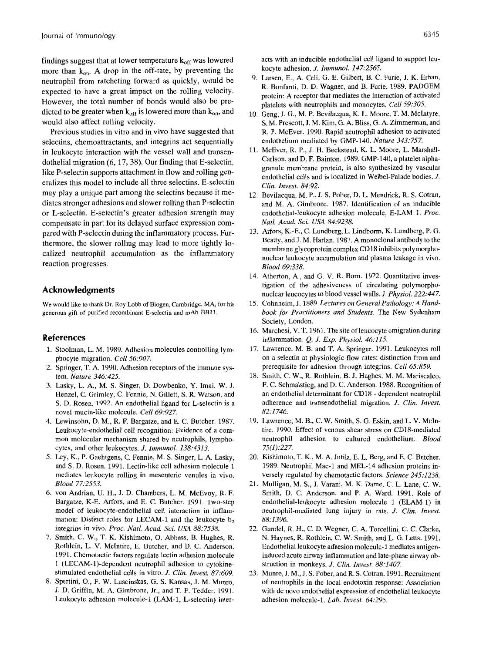findings suggest that at lower temperature  $k_{off}$  was lowered more than  $k_{on}$ . A drop in the off-rate, by preventing the neutrophil from ratcheting forward as quickly, would be expected to have a great impact on the rolling velocity. However, the total number of bonds would also be predicted to be greater when  $k_{off}$  is lowered more than  $k_{on}$ , and would also affect rolling velocity.

Previous studies in vitro and in vivo have suggested that selectins, chemoattractants, and integrins act sequentially in leukocyte interaction with the vessel wall and transendothelial migration **(6,** 17,38). Our finding that E-selectin, like P-selectin supports attachment in flow and rolling generalizes this model to include all three selectins. E-selectin may play a unique part among the selectins because it mediates stronger adhesions and slower rolling than P-selectin or L-selectin. E-selectin's greater adhesion strength may compensate in part for its delayed surface expression compared with P-selectin during the inflammatory process. Furthermore, the slower rolling may lead to more tightly localized neutrophil accumulation as the inflammatory reaction progresses.

# **Acknowledgments**

We would like to thank Dr. Roy Lobb of Biogen, Cambridge, **MA, for** his generous gift of purified recombinant E-selectin and mAb BB11.

# **References**

- 1. Stoolman, L. M. 1989. Adhesion molecules controlling lymphocyte migration. *Cell 56.907.*
- 2. Springer, T. A. 1990. Adhesion receptors of the immune system. *Nature 346.425.*
- 3. Lasky, L. A., M. **S.** Singer, D. Dowbenko, **Y.** Imai, W. **J.**  Henzel, C. Grimley, C. Fennie, N. Gillett, S. R. Watson, and **S.** D. Rosen. 1992. An endothelial ligand for L-selectin is a novel mucin-like molecule. *Celt 69:927.*
- 4. Lewinsohn, D. M., R. F. Bargatze, and E. C. Butcher. 1987. Leukocyte-endothelial cell recognition: Evidence of a common molecular mechanism shared by neutrophils, lymphocytes, and other leukocytes. *J. Immunol. 138:4313.*
- *5.* Ley, K., P. Gaehtgens, C. Fennie, M. **S.** Singer, L. A. Lasky, and S. D. Rosen. 1991. Lectin-like cell adhesion molecule 1 mediates leukocyte rolling in mesenteric venules in vivo. *Blood 77:2553.*
- 6. von Andrian, **U.** H., J. D. Chambers, L. M. McEvoy, R. **F.**  Bargatze, K-E. Arfors, and E. C. Butcher. 1991. Two-step model of leukocyte-endothelial cell interaction in inflammation: Distinct roles for LECAM-1 and the leukocyte  $b<sub>2</sub>$ integrins in vivo. *Proc. Nati. Acad. Sci. USA 88:7538.*
- 7. Smith, C. W., T. K. Kishimoto, 0. Abbass, B. Hughes, R. Rothlein, L. V. McIntire, E. Butcher, and D. C. Anderson. 1991. Chemotactic factors regulate lectin adhesion molecule 1 (LECAM-1)-dependent neutrophil adhesion to cytokinestimulated endothelial cells in vitro. *J. Clin. Invest. 87.609.*
- 8. Spertini, *O.,* F. W. Luscinskas, G. **S.** Kansas, J. M. Munro, J. D. Griffin, M. A. Gimbrone, Jr., and T. F. Tedder. 1991. Leukocyte adhesion molecule-1 (LAM-1, L-selectin) inter-

acts with an inducible endothelial cell ligand to support leukocyte adhesion. *J. Irnmunol. 247.2565.* 

- 9. Larsen, E., A. Celi, G. E. Gilbert, B. C. Furie, J. K. Erban, R. Bonfanti, D. D. Wagner, and B. Furie. 1989. PADGEM protein: A receptor that mediates the interaction of activated platelets with neutrophils and monocytes. *Cell 59.305.*
- 10. Geng, **J.** G., M. P. Bevilacqua, K. L. Moore, T. M. McIntyre, **S.** M. Prescott, **J.** M. Kim, G. A. Bliss, G. A. Zimmerman, and R. P. McEver. 1990. Rapid neutrophil adhesion to activated endothelium mediated by GMP-140. *Nature 343:757.*
- 11. McEver, R. **P.,** J. H. Beckstead, K. L. Moore, L. Marshall-Carlson, and D. F. Bainton. 1989. GMP-140, a platelet alphagranule membrane protein, is also synthesized by vascular endothelial cells and is localized in Weibel-Palade bodies. *J. Clin. Invest. 84:92.*
- 12. Bevilacqua, M. P., **J. S.** Pober, D. L. Mendrick, R. **S.** Cotran, and M. A. Gimbrone. 1987. Identification of an inducible endothelial-leukocyte adhesion molecule, E-LAM 1. *Proc. Natl. Acad. Sci. USA 84.9238.*
- 13. Arfors, K.-E., C. Lundberg, L. Lindborm, K. Lundberg, P. G. Beatty, and J. M. Harlan. 1987. A monoclonal antibody to the membrane glycoprotein complex CD18 inhibits polymorphonuclear leukocyte accumulation and plasma leakage in vivo. *Blood 69:338.*
- 14. Atherton, A., and G. **V.** R. Born. 1972. Quantitative investigation of the adhesiveness of circulating polymorphonuclear leucocytes to blood vessel walls. *J. Physiol. 222.447.*
- 15. Cohnheim, J. 1889. *Lectures on General Pathology: A Handbook for Practitioners and Students.* The New Sydenham Society, London.
- 16. Marchesi, V. T. 1961. The site of leucocyte emigration during inflammation. *Q. J. Exp. Physiol. 46.215.*
- 17. Lawrence, M. B. and T. A. Springer. 1991. Leukocytes roll on a selectin at physiologic flow rates: distinction from and prerequisite for adhesion through integrins. *Cell 65.859.*
- 18. Smith, C. **W., R.** Rothlein, B. J. Hughes, M. M. Mariscalco, F. C. Schmalstieg, and D. C. Anderson. 1988. Recognition of an endothelial determinant for CD18 - dependent neutrophil adherence and transendothelial migration. *J. Clin. Invest. 82:1746.*
- 19. Lawrence, M. B., C. W. Smith, **S.** G. Eskin, and L. V. McIntire. 1990. Effect of venous shear stress on CD18-mediated neutrophil adhesion to cultured endothelium. *Blood 75(1):227.*
- 20. Kishimoto, T. K., M. A. Jutila, E. L. Berg, and E. C. Butcher. 1989. Neutrophil Mac-1 and MEL-14 adhesion proteins inversely regulated by chemotactic factors. *Science 245;1238.*
- 21. Mulligan, M. **S.,** J. Varani, M. K. Dame, C. L. Lane, C. W. Smith, D. C. Anderson, and P. A. Ward. 1991. Role of endothelial-leukocyte adhesion molecule 1 (ELAM-1) in neutrophil-mediated lung injury in rats. *J. Ciin. Invest. 88:1396.*
- 22. Gundel, **R.** H., C. D. Wegner, C. A. Torcellini, C. C. Clarke, N. Haynes, R. Rothlein, C. W. Smith, and L. G. Letts. 1991. Endothelial leukocyte adhesion molecule-1 mediates antigeninduced acute airway inflammation and late-phase airway obstruction in monkeys. *J. Clin. Invest. 88:1407.*
- *23.* Munro, J. M., J. **S.** Pober, and R. **S.** Cotran. 1991. Recruitment of neutrophils in the local endotoxin response: Association with de novo endothelial expression of endothelial leukocyte adhesion molecule-1. *Lab. Invest. 64:295.*